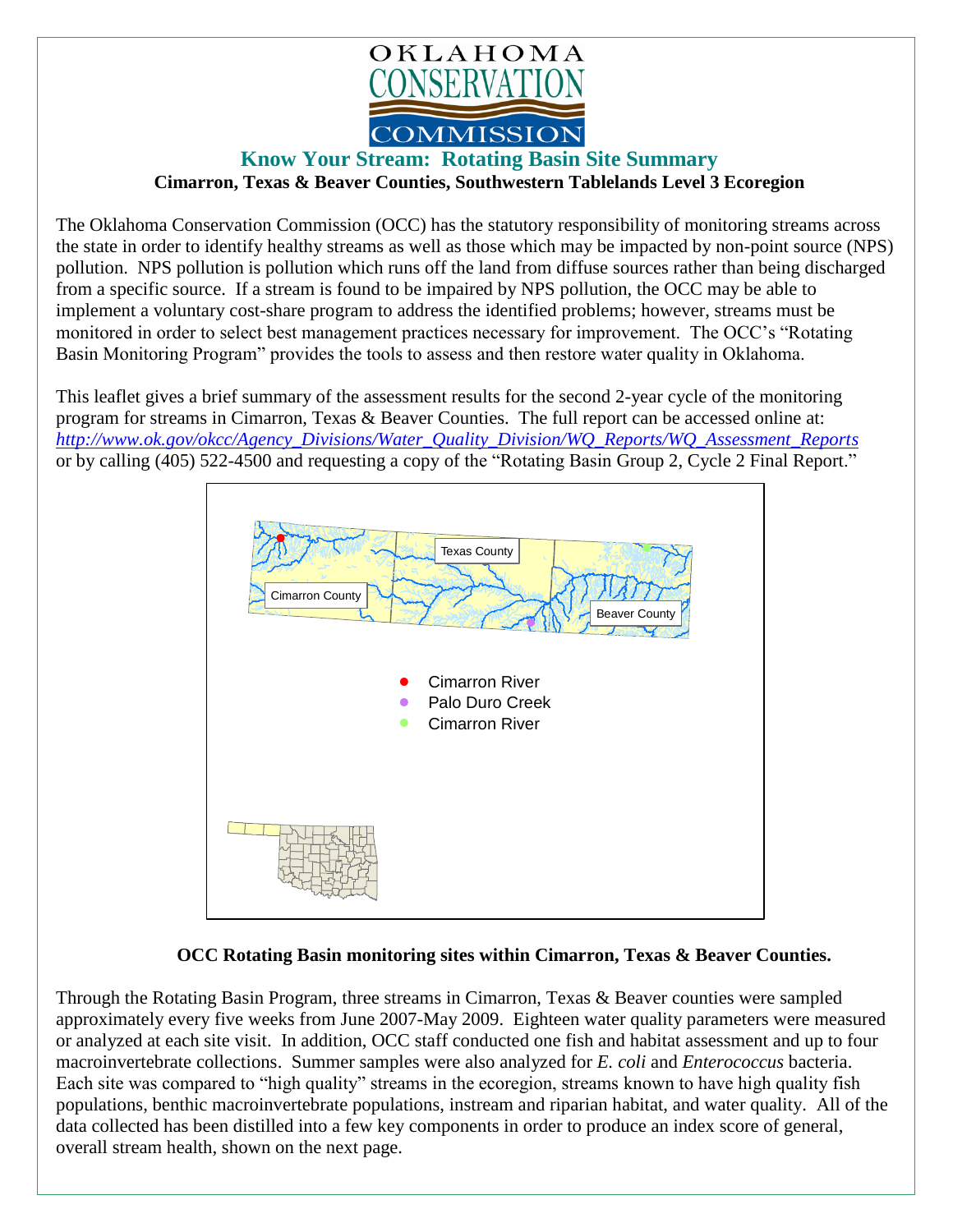

## **Know Your Stream: Rotating Basin Site Summary**

**Cimarron, Texas & Beaver Counties, Southwestern Tablelands Level 3 Ecoregion** 

The Oklahoma Conservation Commission (OCC) has the statutory responsibility of monitoring streams across the state in order to identify healthy streams as well as those which may be impacted by non-point source (NPS) pollution. NPS pollution is pollution which runs off the land from diffuse sources rather than being discharged from a specific source. If a stream is found to be impaired by NPS pollution, the OCC may be able to implement a voluntary cost-share program to address the identified problems; however, streams must be monitored in order to select best management practices necessary for improvement. The OCC's "Rotating Basin Monitoring Program" provides the tools to assess and then restore water quality in Oklahoma.

This leaflet gives a brief summary of the assessment results for the second 2-year cycle of the monitoring program for streams in Cimarron, Texas & Beaver Counties. The full report can be accessed online at: *[http://www.ok.gov/okcc/Agency\\_Divisions/Water\\_Quality\\_Division/WQ\\_Reports/WQ\\_Assessment\\_Reports](http://www.ok.gov/okcc/Agency_Divisions/Water_Quality_Division/WQ_Reports/WQ_Assessment_Reports)* or by calling (405) 522-4500 and requesting a copy of the "Rotating Basin Group 2, Cycle 2 Final Report."



## **OCC Rotating Basin monitoring sites within Cimarron, Texas & Beaver Counties.**

Through the Rotating Basin Program, three streams in Cimarron, Texas & Beaver counties were sampled approximately every five weeks from June 2007-May 2009. Eighteen water quality parameters were measured or analyzed at each site visit. In addition, OCC staff conducted one fish and habitat assessment and up to four macroinvertebrate collections. Summer samples were also analyzed for *E. coli* and *Enterococcus* bacteria. Each site was compared to "high quality" streams in the ecoregion, streams known to have high quality fish populations, benthic macroinvertebrate populations, instream and riparian habitat, and water quality. All of the data collected has been distilled into a few key components in order to produce an index score of general, overall stream health, shown on the next page.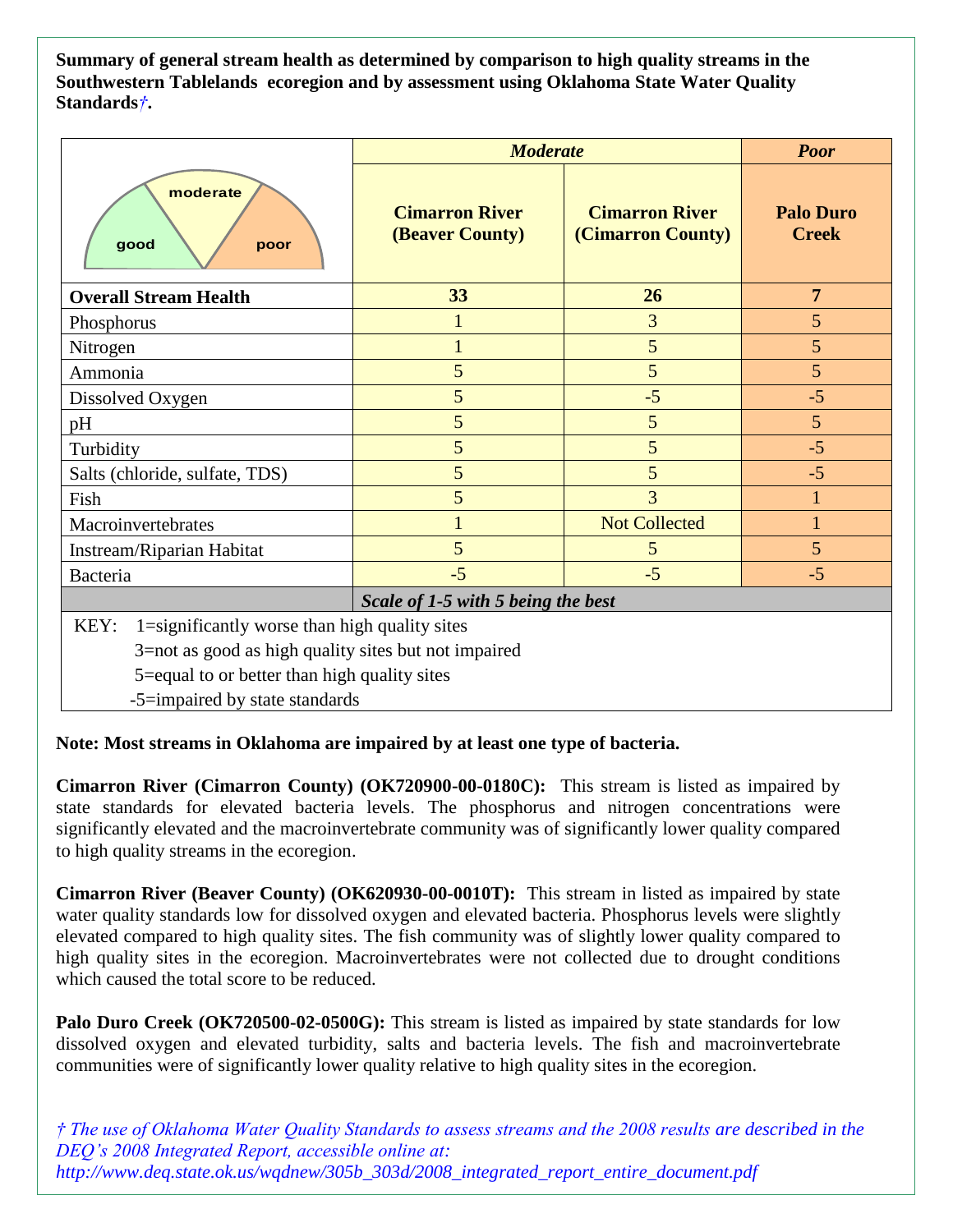**Summary of general stream health as determined by comparison to high quality streams in the Southwestern Tablelands ecoregion and by assessment using Oklahoma State Water Quality Standards***†***.**

|                                                                                                                                                                                                 | <b>Moderate</b>                                 |                                            | <b>Poor</b>                      |
|-------------------------------------------------------------------------------------------------------------------------------------------------------------------------------------------------|-------------------------------------------------|--------------------------------------------|----------------------------------|
| moderate<br>good<br>poor                                                                                                                                                                        | <b>Cimarron River</b><br><b>(Beaver County)</b> | <b>Cimarron River</b><br>(Cimarron County) | <b>Palo Duro</b><br><b>Creek</b> |
| <b>Overall Stream Health</b>                                                                                                                                                                    | 33                                              | 26                                         | $\overline{7}$                   |
| Phosphorus                                                                                                                                                                                      | 1                                               | 3                                          | 5                                |
| Nitrogen                                                                                                                                                                                        |                                                 | 5                                          | 5                                |
| Ammonia                                                                                                                                                                                         | 5                                               | 5                                          | 5                                |
| Dissolved Oxygen                                                                                                                                                                                | 5                                               | $-5$                                       | $-5$                             |
| pH                                                                                                                                                                                              | 5                                               | 5                                          | $5\overline{)}$                  |
| Turbidity                                                                                                                                                                                       | 5                                               | 5                                          | $-5$                             |
| Salts (chloride, sulfate, TDS)                                                                                                                                                                  | 5                                               | 5                                          | $-5$                             |
| Fish                                                                                                                                                                                            | 5                                               | 3                                          |                                  |
| Macroinvertebrates                                                                                                                                                                              |                                                 | <b>Not Collected</b>                       |                                  |
| Instream/Riparian Habitat                                                                                                                                                                       | 5                                               | 5                                          | 5                                |
| Bacteria                                                                                                                                                                                        | $-5$                                            | $-5$                                       | $-5$                             |
| Scale of 1-5 with 5 being the best                                                                                                                                                              |                                                 |                                            |                                  |
| 1=significantly worse than high quality sites<br>KEY:<br>3=not as good as high quality sites but not impaired<br>5=equal to or better than high quality sites<br>-5=impaired by state standards |                                                 |                                            |                                  |

## **Note: Most streams in Oklahoma are impaired by at least one type of bacteria.**

**Cimarron River (Cimarron County) (OK720900-00-0180C):** This stream is listed as impaired by state standards for elevated bacteria levels. The phosphorus and nitrogen concentrations were significantly elevated and the macroinvertebrate community was of significantly lower quality compared to high quality streams in the ecoregion.

**Cimarron River (Beaver County) (OK620930-00-0010T):** This stream in listed as impaired by state water quality standards low for dissolved oxygen and elevated bacteria. Phosphorus levels were slightly elevated compared to high quality sites. The fish community was of slightly lower quality compared to high quality sites in the ecoregion. Macroinvertebrates were not collected due to drought conditions which caused the total score to be reduced.

**Palo Duro Creek (OK720500-02-0500G):** This stream is listed as impaired by state standards for low dissolved oxygen and elevated turbidity, salts and bacteria levels. The fish and macroinvertebrate communities were of significantly lower quality relative to high quality sites in the ecoregion.

*† The use of Oklahoma Water Quality Standards to assess streams and the 2008 results are described in the DEQ's 2008 Integrated Report, accessible online at: http://www.deq.state.ok.us/wqdnew/305b\_303d/2008\_integrated\_report\_entire\_document.pdf*